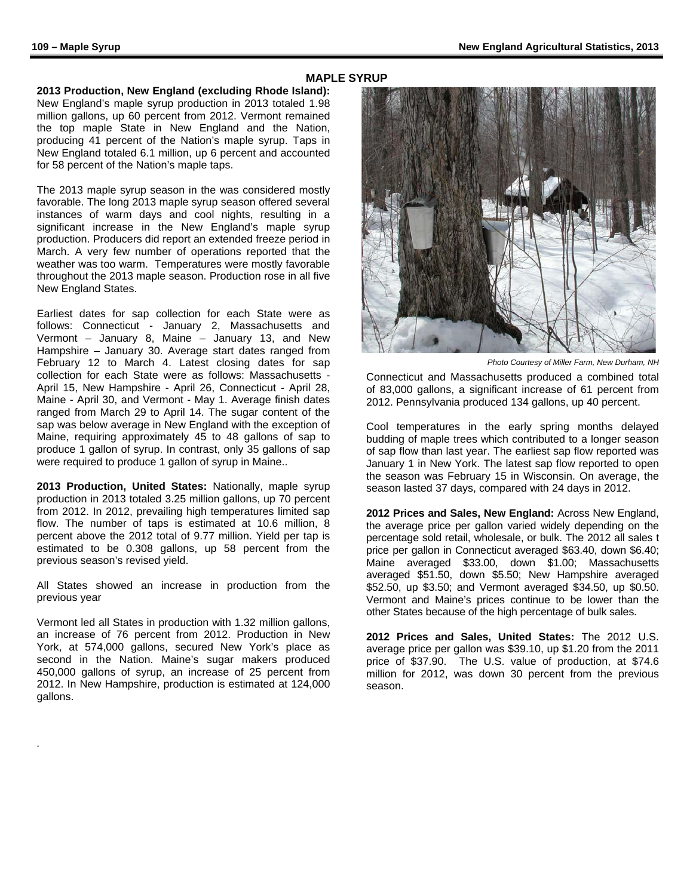## **MAPLE SYRUP**

**2013 Production, New England (excluding Rhode Island):** New England's maple syrup production in 2013 totaled 1.98 million gallons, up 60 percent from 2012. Vermont remained the top maple State in New England and the Nation, producing 41 percent of the Nation's maple syrup. Taps in New England totaled 6.1 million, up 6 percent and accounted for 58 percent of the Nation's maple taps.

The 2013 maple syrup season in the was considered mostly favorable. The long 2013 maple syrup season offered several instances of warm days and cool nights, resulting in a significant increase in the New England's maple syrup production. Producers did report an extended freeze period in March. A very few number of operations reported that the weather was too warm. Temperatures were mostly favorable throughout the 2013 maple season. Production rose in all five New England States.

Earliest dates for sap collection for each State were as follows: Connecticut - January 2, Massachusetts and Vermont – January 8, Maine – January 13, and New Hampshire – January 30. Average start dates ranged from February 12 to March 4. Latest closing dates for sap collection for each State were as follows: Massachusetts - April 15, New Hampshire - April 26, Connecticut - April 28, Maine - April 30, and Vermont - May 1. Average finish dates ranged from March 29 to April 14. The sugar content of the sap was below average in New England with the exception of Maine, requiring approximately 45 to 48 gallons of sap to produce 1 gallon of syrup. In contrast, only 35 gallons of sap were required to produce 1 gallon of syrup in Maine..

**2013 Production, United States:** Nationally, maple syrup production in 2013 totaled 3.25 million gallons, up 70 percent from 2012. In 2012, prevailing high temperatures limited sap flow. The number of taps is estimated at 10.6 million, 8 percent above the 2012 total of 9.77 million. Yield per tap is estimated to be 0.308 gallons, up 58 percent from the previous season's revised yield.

All States showed an increase in production from the previous year

Vermont led all States in production with 1.32 million gallons, an increase of 76 percent from 2012. Production in New York, at 574,000 gallons, secured New York's place as second in the Nation. Maine's sugar makers produced 450,000 gallons of syrup, an increase of 25 percent from 2012. In New Hampshire, production is estimated at 124,000 gallons.

.



*Photo Courtesy of Miller Farm, New Durham, NH*

Connecticut and Massachusetts produced a combined total of 83,000 gallons, a significant increase of 61 percent from 2012. Pennsylvania produced 134 gallons, up 40 percent.

Cool temperatures in the early spring months delayed budding of maple trees which contributed to a longer season of sap flow than last year. The earliest sap flow reported was January 1 in New York. The latest sap flow reported to open the season was February 15 in Wisconsin. On average, the season lasted 37 days, compared with 24 days in 2012.

**2012 Prices and Sales, New England:** Across New England, the average price per gallon varied widely depending on the percentage sold retail, wholesale, or bulk. The 2012 all sales t price per gallon in Connecticut averaged \$63.40, down \$6.40; Maine averaged \$33.00, down \$1.00; Massachusetts averaged \$51.50, down \$5.50; New Hampshire averaged \$52.50, up \$3.50; and Vermont averaged \$34.50, up \$0.50. Vermont and Maine's prices continue to be lower than the other States because of the high percentage of bulk sales.

**2012 Prices and Sales, United States:** The 2012 U.S. average price per gallon was \$39.10, up \$1.20 from the 2011 price of \$37.90. The U.S. value of production, at \$74.6 million for 2012, was down 30 percent from the previous season.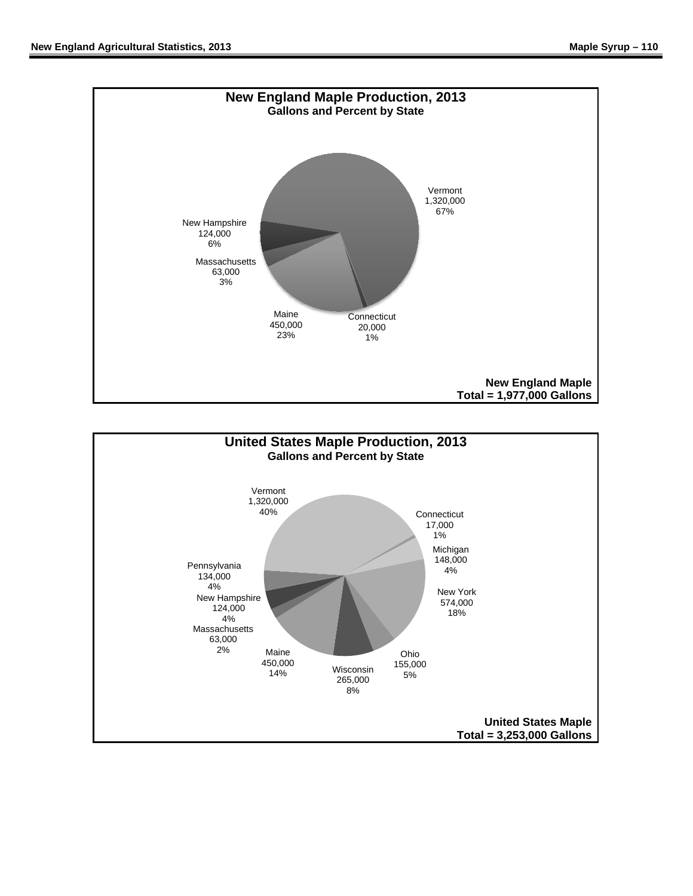

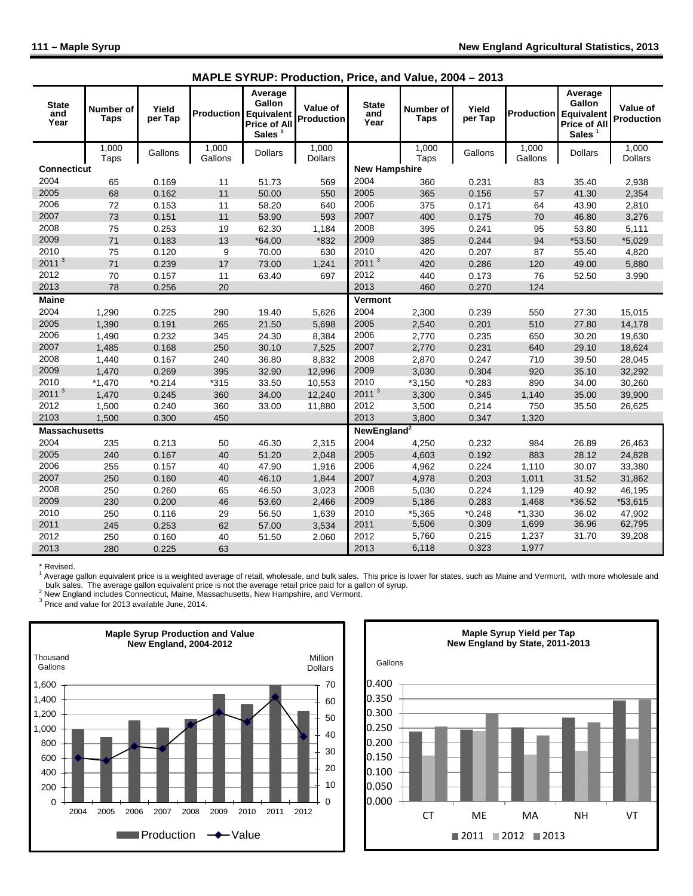l.

| <b>State</b><br>and<br>Year | Number of<br><b>Taps</b> | Yield<br>per Tap | Production       | Average<br>Gallon<br><b>Equivalent</b><br><b>Price of All</b><br>Sales $1$ | Value of<br><b>Production</b> | <b>State</b><br>and<br>Year | Number of<br><b>Taps</b> | Yield<br>per Tap | <b>Production</b> | Average<br>Gallon<br>Equivalent<br><b>Price of All</b><br>Sales $1$ | Value of<br>Production  |
|-----------------------------|--------------------------|------------------|------------------|----------------------------------------------------------------------------|-------------------------------|-----------------------------|--------------------------|------------------|-------------------|---------------------------------------------------------------------|-------------------------|
|                             | 1,000<br>Taps            | Gallons          | 1,000<br>Gallons | <b>Dollars</b>                                                             | 1.000<br><b>Dollars</b>       |                             | 1,000<br>Taps            | Gallons          | 1.000<br>Gallons  | <b>Dollars</b>                                                      | 1.000<br><b>Dollars</b> |
| <b>Connecticut</b>          |                          |                  |                  |                                                                            |                               | <b>New Hampshire</b>        |                          |                  |                   |                                                                     |                         |
| 2004                        | 65                       | 0.169            | 11               | 51.73                                                                      | 569                           | 2004                        | 360                      | 0.231            | 83                | 35.40                                                               | 2,938                   |
| 2005                        | 68                       | 0.162            | 11               | 50.00                                                                      | 550                           | 2005                        | 365                      | 0.156            | 57                | 41.30                                                               | 2,354                   |
| 2006                        | 72                       | 0.153            | 11               | 58.20                                                                      | 640                           | 2006                        | 375                      | 0.171            | 64                | 43.90                                                               | 2,810                   |
| 2007                        | 73                       | 0.151            | 11               | 53.90                                                                      | 593                           | 2007                        | 400                      | 0.175            | 70                | 46.80                                                               | 3,276                   |
| 2008                        | 75                       | 0.253            | 19               | 62.30                                                                      | 1,184                         | 2008                        | 395                      | 0.241            | 95                | 53.80                                                               | 5,111                   |
| 2009                        | 71                       | 0.183            | 13               | $*64.00$                                                                   | $*832$                        | 2009                        | 385                      | 0.244            | 94                | *53.50                                                              | $*5,029$                |
| 2010                        | 75                       | 0.120            | 9                | 70.00                                                                      | 630                           | 2010                        | 420                      | 0.207            | 87                | 55.40                                                               | 4,820                   |
| 2011<br>$\mathbf{3}$        | 71                       | 0.239            | 17               | 73.00                                                                      | 1,241                         | 2011 <sup>3</sup>           | 420                      | 0.286            | 120               | 49.00                                                               | 5,880                   |
| 2012                        | 70                       | 0.157            | 11               | 63.40                                                                      | 697                           | 2012                        | 440                      | 0.173            | 76                | 52.50                                                               | 3.990                   |
| 2013                        | 78                       | 0.256            | 20               |                                                                            |                               | 2013                        | 460                      | 0.270            | 124               |                                                                     |                         |
| <b>Maine</b>                |                          |                  |                  |                                                                            |                               | Vermont                     |                          |                  |                   |                                                                     |                         |
| 2004                        | 1,290                    | 0.225            | 290              | 19.40                                                                      | 5,626                         | 2004                        | 2,300                    | 0.239            | 550               | 27.30                                                               | 15,015                  |
| 2005                        | 1,390                    | 0.191            | 265              | 21.50                                                                      | 5,698                         | 2005                        | 2,540                    | 0.201            | 510               | 27.80                                                               | 14,178                  |
| 2006                        | 1,490                    | 0.232            | 345              | 24.30                                                                      | 8,384                         | 2006                        | 2,770                    | 0.235            | 650               | 30.20                                                               | 19,630                  |
| 2007                        | 1,485                    | 0.168            | 250              | 30.10                                                                      | 7,525                         | 2007                        | 2,770                    | 0.231            | 640               | 29.10                                                               | 18,624                  |
| 2008                        | 1,440                    | 0.167            | 240              | 36.80                                                                      | 8,832                         | 2008                        | 2,870                    | 0.247            | 710               | 39.50                                                               | 28,045                  |
| 2009                        | 1,470                    | 0.269            | 395              | 32.90                                                                      | 12,996                        | 2009                        | 3,030                    | 0.304            | 920               | 35.10                                                               | 32,292                  |
| 2010                        | $*1,470$                 | $*0.214$         | $*315$           | 33.50                                                                      | 10,553                        | 2010                        | $*3,150$                 | $*0.283$         | 890               | 34.00                                                               | 30,260                  |
| 2011 <sup>3</sup>           | 1,470                    | 0.245            | 360              | 34.00                                                                      | 12,240                        | 2011 <sup>3</sup>           | 3,300                    | 0.345            | 1,140             | 35.00                                                               | 39,900                  |
| 2012                        | 1,500                    | 0.240            | 360              | 33.00                                                                      | 11,880                        | 2012                        | 3,500                    | 0,214            | 750               | 35.50                                                               | 26,625                  |
| 2103                        | 1,500                    | 0.300            | 450              |                                                                            |                               | 2013                        | 3,800                    | 0.347            | 1,320             |                                                                     |                         |
| <b>Massachusetts</b>        |                          |                  |                  |                                                                            |                               | NewEngland <sup>2</sup>     |                          |                  |                   |                                                                     |                         |
| 2004                        | 235                      | 0.213            | 50               | 46.30                                                                      | 2,315                         | 2004                        | 4,250                    | 0.232            | 984               | 26.89                                                               | 26,463                  |
| 2005                        | 240                      | 0.167            | 40               | 51.20                                                                      | 2,048                         | 2005                        | 4,603                    | 0.192            | 883               | 28.12                                                               | 24,828                  |
| 2006                        | 255                      | 0.157            | 40               | 47.90                                                                      | 1,916                         | 2006                        | 4,962                    | 0.224            | 1,110             | 30.07                                                               | 33,380                  |
| 2007                        | 250                      | 0.160            | 40               | 46.10                                                                      | 1,844                         | 2007                        | 4,978                    | 0.203            | 1,011             | 31.52                                                               | 31,862                  |
| 2008                        | 250                      | 0.260            | 65               | 46.50                                                                      | 3,023                         | 2008                        | 5,030                    | 0.224            | 1,129             | 40.92                                                               | 46,195                  |
| 2009                        | 230                      | 0.200            | 46               | 53.60                                                                      | 2,466                         | 2009                        | 5,186                    | 0.283            | 1,468             | *36.52                                                              | *53,615                 |
| 2010                        | 250                      | 0.116            | 29               | 56.50                                                                      | 1,639                         | 2010                        | *5,365                   | $*0.248$         | $*1,330$          | 36.02                                                               | 47,902                  |
| 2011                        | 245                      | 0.253            | 62               | 57.00                                                                      | 3,534                         | 2011                        | 5,506                    | 0.309            | 1,699             | 36.96                                                               | 62,795                  |
| 2012                        | 250                      | 0.160            | 40               | 51.50                                                                      | 2.060                         | 2012                        | 5,760                    | 0.215            | 1,237             | 31.70                                                               | 39,208                  |
| 2013                        | 280                      | 0.225            | 63               |                                                                            |                               | 2013                        | 6,118                    | 0.323            | 1,977             |                                                                     |                         |

|  |  | MAPLE SYRUP: Production, Price, and Value, 2004 - 2013 |  |  |  |  |
|--|--|--------------------------------------------------------|--|--|--|--|
|--|--|--------------------------------------------------------|--|--|--|--|

\* Revised.<br><sup>1</sup> Average gallon equivalent price is a weighted average of retail, wholesale, and bulk sales. This price is lower for states, such as Maine and Vermont, with more wholesale and<br>\_ bulk sales. The average gallon

Price and value for 2013 available June, 2014.<br><sup>3</sup> New England includes Connecticut, Maine, Massachusetts, New Hampshire, and Vermont.<br><sup>3</sup> Price and value for 2013 available June, 2014.